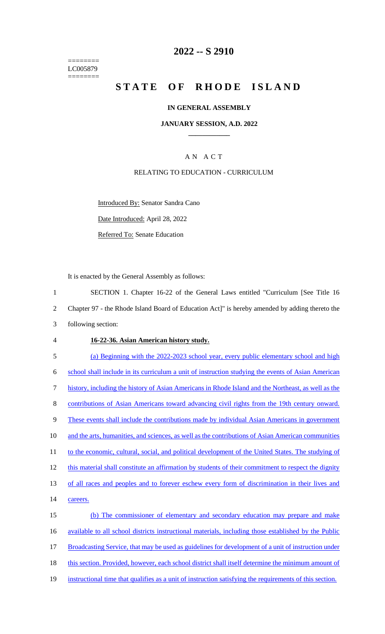======== LC005879 ========

## **2022 -- S 2910**

# **STATE OF RHODE ISLAND**

#### **IN GENERAL ASSEMBLY**

#### **JANUARY SESSION, A.D. 2022 \_\_\_\_\_\_\_\_\_\_\_\_**

## A N A C T

#### RELATING TO EDUCATION - CURRICULUM

Introduced By: Senator Sandra Cano

Date Introduced: April 28, 2022

Referred To: Senate Education

It is enacted by the General Assembly as follows:

 SECTION 1. Chapter 16-22 of the General Laws entitled "Curriculum [See Title 16 Chapter 97 - the Rhode Island Board of Education Act]" is hereby amended by adding thereto the following section: **16-22-36. Asian American history study.**  (a) Beginning with the 2022-2023 school year, every public elementary school and high school shall include in its curriculum a unit of instruction studying the events of Asian American history, including the history of Asian Americans in Rhode Island and the Northeast, as well as the 8 contributions of Asian Americans toward advancing civil rights from the 19th century onward. 9 These events shall include the contributions made by individual Asian Americans in government 10 and the arts, humanities, and sciences, as well as the contributions of Asian American communities 11 to the economic, cultural, social, and political development of the United States. The studying of 12 this material shall constitute an affirmation by students of their commitment to respect the dignity of all races and peoples and to forever eschew every form of discrimination in their lives and careers. (b) The commissioner of elementary and secondary education may prepare and make available to all school districts instructional materials, including those established by the Public 17 Broadcasting Service, that may be used as guidelines for development of a unit of instruction under 18 this section. Provided, however, each school district shall itself determine the minimum amount of

19 instructional time that qualifies as a unit of instruction satisfying the requirements of this section.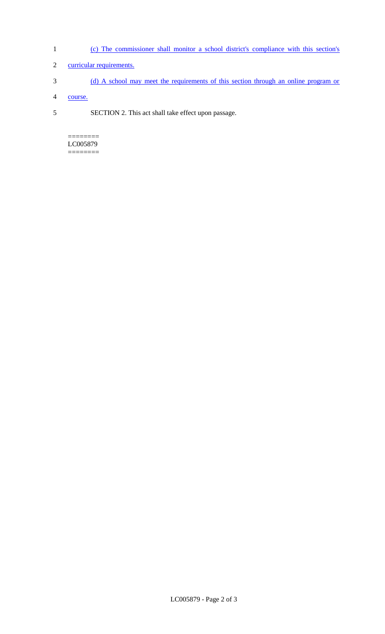- 1 (c) The commissioner shall monitor a school district's compliance with this section's
- 2 curricular requirements.
- 3 (d) A school may meet the requirements of this section through an online program or
- 4 course.
- 5 SECTION 2. This act shall take effect upon passage.

 $=$ LC005879 ========